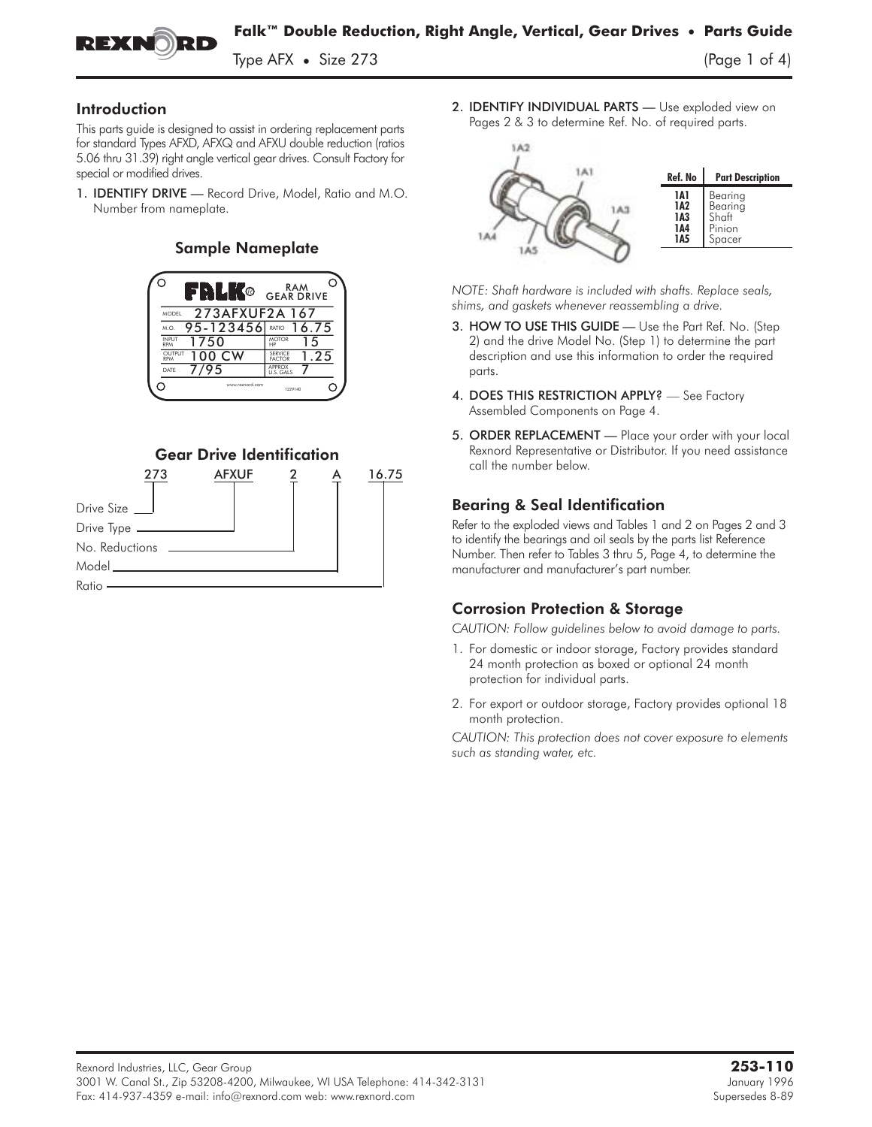

Type AFX **•** Size 273 (Page 1 of 4)

#### Introduction

This parts guide is designed to assist in ordering replacement parts for standard Types AFXD, AFXQ and AFXU double reduction (ratios 5.06 thru 31.39) right angle vertical gear drives. Consult Factory for special or modified drives.

1. **IDENTIFY DRIVE** - Record Drive, Model, Ratio and M.O. Number from nameplate.

#### Sample Nameplate





2. **IDENTIFY INDIVIDUAL PARTS** - Use exploded view on Pages 2 & 3 to determine Ref. No. of required parts.



*NOTE: Shaft hardware is included with shafts. Replace seals, shims, and gaskets whenever reassembling a drive.*

- 3. HOW TO USE THIS GUIDE Use the Part Ref. No. (Step 2) and the drive Model No. (Step 1) to determine the part description and use this information to order the required parts.
- 4. DOES THIS RESTRICTION APPLY? See Factory Assembled Components on Page 4.
- 5. ORDER REPLACEMENT Place your order with your local Rexnord Representative or Distributor. If you need assistance call the number below.

### Bearing & Seal Identification

Refer to the exploded views and Tables 1 and 2 on Pages 2 and 3 to identify the bearings and oil seals by the parts list Reference Number. Then refer to Tables 3 thru 5, Page 4, to determine the manufacturer and manufacturer's part number.

### Corrosion Protection & Storage

*CAUTION: Follow guidelines below to avoid damage to parts.*

- 1. For domestic or indoor storage, Factory provides standard 24 month protection as boxed or optional 24 month protection for individual parts.
- 2. For export or outdoor storage, Factory provides optional 18 month protection.

*CAUTION: This protection does not cover exposure to elements such as standing water, etc.*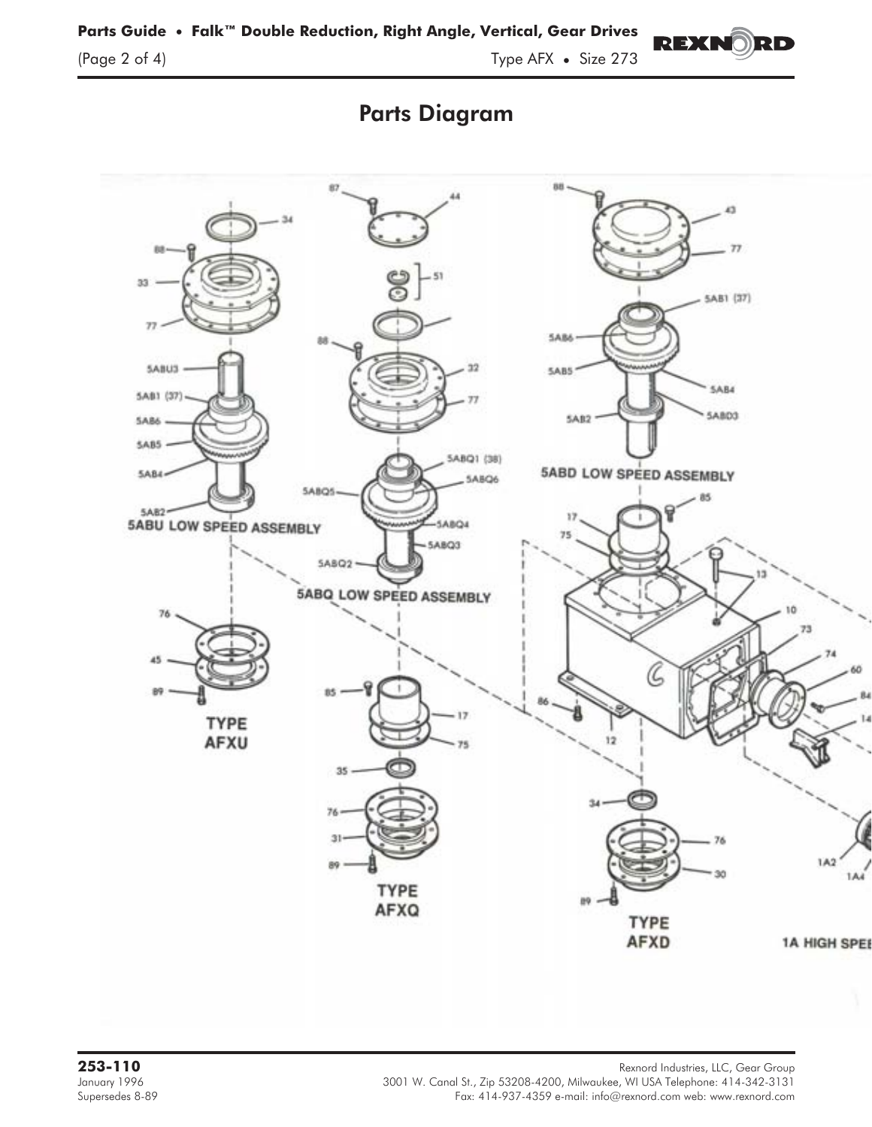



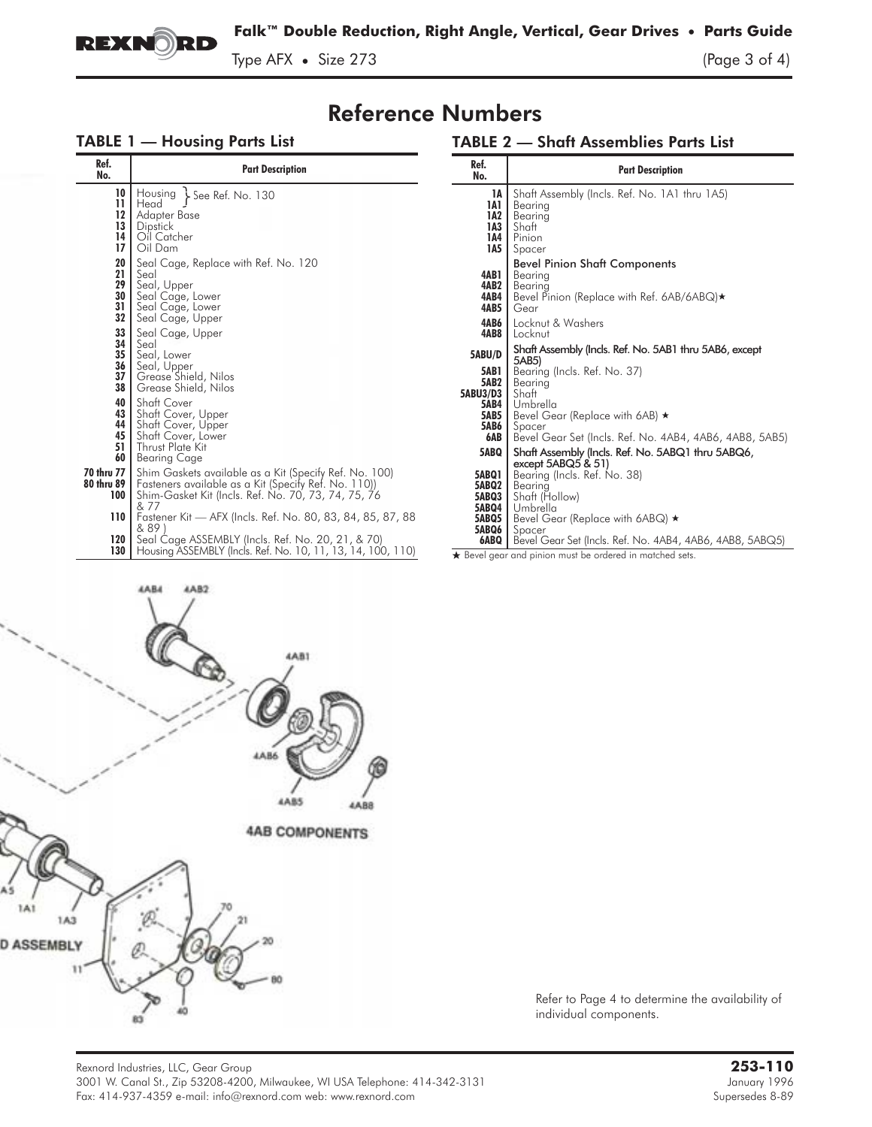

Type AFX • Size 273 (Page 3 of 4)

## Reference Numbers

## TABLE 1 — Housing Parts List

### TABLE 2 — Shaft Assemblies Parts List

| Ref.<br>No.                                         | <b>Part Description</b>                                                                                                                                                                                                                     | Ref.<br>No.                                       | <b>Part Description</b>                                                                                                                                                     |
|-----------------------------------------------------|---------------------------------------------------------------------------------------------------------------------------------------------------------------------------------------------------------------------------------------------|---------------------------------------------------|-----------------------------------------------------------------------------------------------------------------------------------------------------------------------------|
| 10<br>$\mathbf{1}$<br>12<br>13<br>14<br>17          | Housing<br>$See$ Ref. No. 130<br>Head<br>Adapter Base<br>Dipstick<br>Oil Catcher<br>Oil Dam                                                                                                                                                 | 1A<br>1A1<br>1A2<br>1A3<br>1A4<br>1A5             | Shaft Assembly (Incls. Ref. No. 1A1 thru 1A5)<br>Bearing<br>Bearing<br>Shaft<br>Pinion<br>Spacer                                                                            |
| 20<br>21<br>29<br>30<br>31<br>32                    | Seal Cage, Replace with Ref. No. 120<br>Seal<br>Seal, Upper<br>Seal Cage, Lower<br>Seal Cage, Lower<br>Seal Cage, Upper<br>Seal Cage, Upper                                                                                                 | 4AB1<br>4AB2<br>4AB4<br>4AB5<br>4AB6<br>4AB8      | <b>Bevel Pinion Shaft Components</b><br>Bearing<br>Bearing<br>Bevel Pinion (Replace with Ref. 6AB/6ABQ)★<br>Gear<br>Locknut & Washers<br>Locknut                            |
| $\frac{33}{34}$<br>$\frac{35}{36}$<br>37<br>38      | Seal<br>Seal, Lower<br>Seal, Upper<br>Grease Shield, Nilos<br>Grease Shield, Nilos                                                                                                                                                          | 5ABU/D<br><b>5AB1</b><br><b>5AB2</b><br>5ABU3/D3  | Shaft Assembly (Incls. Ref. No. 5AB1 thru 5AB6, except<br>5AB5)<br>Bearing (Incls. Ref. No. 37)<br>Bearing<br>Shaft                                                         |
| 40<br>43<br>44<br>45<br>51<br>60                    | Shaft Cover<br>Shaft Cover, Upper<br>Shaft Cover, Upper<br>Shaft Cover, Lower<br>Thrust Plate Kit<br>Bearing Cage                                                                                                                           | <b>5AB4</b><br><b>5AB5</b><br>5AB6<br>6AB<br>5ABQ | Umbrella<br>Bevel Gear (Replace with 6AB) $\star$<br>Spacer<br>Bevel Gear Set (Incls. Ref. No. 4AB4, 4AB6, 4AB8, 5AB5)<br>Shaft Assembly (Incls. Ref. No. 5ABQ1 thru 5ABQ6, |
| 70 thru 77<br>80 thru 89<br>100<br>110 <sup>1</sup> | Shim Gaskets available as a Kit (Specify Ref. No. 100)<br>Fasteners available as a Kit (Specify Ref. No. 110))<br>Shim-Gasket Kit (Incls. Ref. No. 70, 73, 74, 75, 76<br>& 77<br>Fastener Kit - AFX (Incls. Ref. No. 80, 83, 84, 85, 87, 88 | 5ABQ1<br>5ABQ2<br>5ABQ3<br>5ABQ4<br>5ABQ5         | except $5ABQ5 & 51$<br>Bearing (Incls. Ref. No. 38)<br>Bearing<br>Shaft (Hollow)<br>Umbrella<br>Bevel Gear (Replace with 6ABQ) ★                                            |
| 120<br>130                                          | & 89<br>Seal Cage ASSEMBLY (Incls. Ref. No. 20, 21, & 70)<br>Housing ASSEMBLY (Incls. Ref. No. 10, 11, 13, 14, 100, 110)                                                                                                                    | 5ABQ6<br>6ABQ                                     | Spacer<br>Bevel Gear Set (Incls. Ref. No. 4AB4, 4AB6, 4AB8, 5ABQ5)<br>Bevel gear and pinion must be ordered in matched sets.                                                |



Refer to Page 4 to determine the availability of individual components.